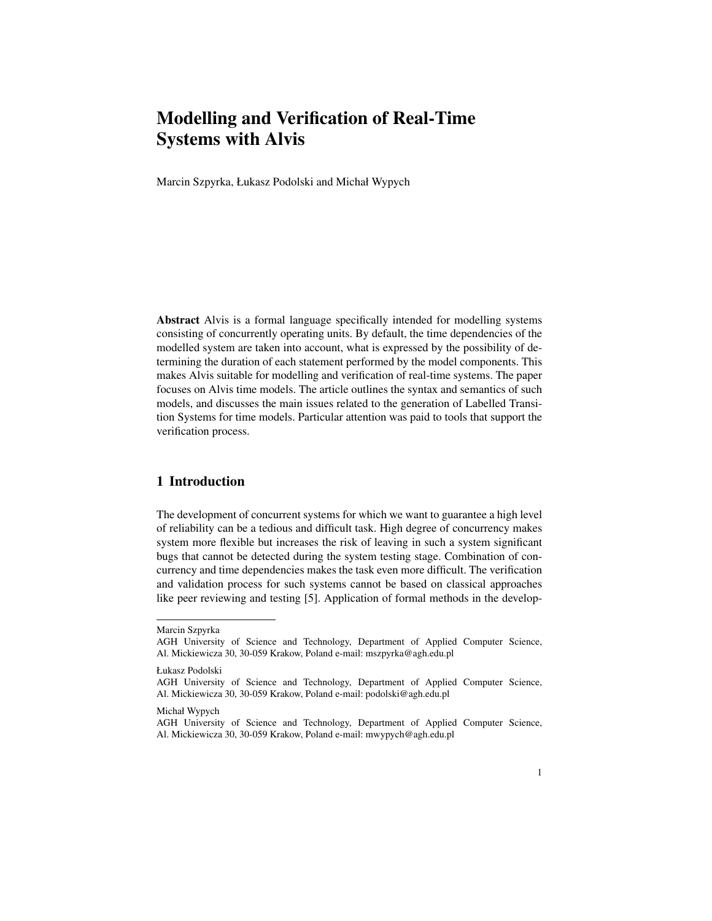# Modelling and Verification of Real-Time Systems with Alvis

Marcin Szpyrka, Łukasz Podolski and Michał Wypych

Abstract Alvis is a formal language specifically intended for modelling systems consisting of concurrently operating units. By default, the time dependencies of the modelled system are taken into account, what is expressed by the possibility of determining the duration of each statement performed by the model components. This makes Alvis suitable for modelling and verification of real-time systems. The paper focuses on Alvis time models. The article outlines the syntax and semantics of such models, and discusses the main issues related to the generation of Labelled Transition Systems for time models. Particular attention was paid to tools that support the verification process.

## 1 Introduction

The development of concurrent systems for which we want to guarantee a high level of reliability can be a tedious and difficult task. High degree of concurrency makes system more flexible but increases the risk of leaving in such a system significant bugs that cannot be detected during the system testing stage. Combination of concurrency and time dependencies makes the task even more difficult. The verification and validation process for such systems cannot be based on classical approaches like peer reviewing and testing [5]. Application of formal methods in the develop-

Łukasz Podolski

Marcin Szpyrka

AGH University of Science and Technology, Department of Applied Computer Science, Al. Mickiewicza 30, 30-059 Krakow, Poland e-mail: mszpyrka@agh.edu.pl

AGH University of Science and Technology, Department of Applied Computer Science, Al. Mickiewicza 30, 30-059 Krakow, Poland e-mail: podolski@agh.edu.pl

Michał Wypych

AGH University of Science and Technology, Department of Applied Computer Science, Al. Mickiewicza 30, 30-059 Krakow, Poland e-mail: mwypych@agh.edu.pl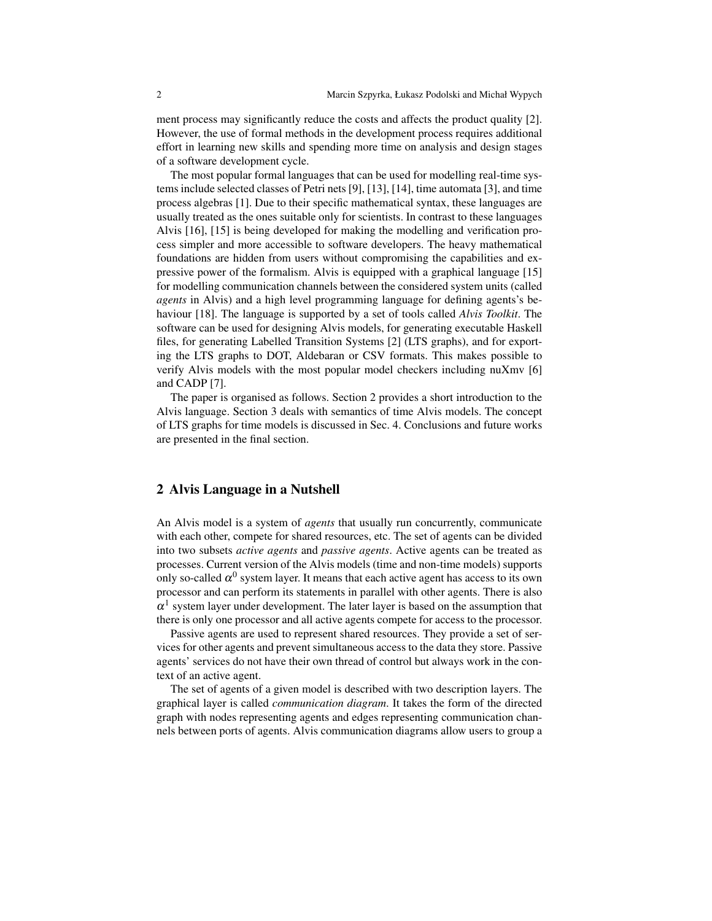ment process may significantly reduce the costs and affects the product quality [2]. However, the use of formal methods in the development process requires additional effort in learning new skills and spending more time on analysis and design stages of a software development cycle.

The most popular formal languages that can be used for modelling real-time systems include selected classes of Petri nets [9], [13], [14], time automata [3], and time process algebras [1]. Due to their specific mathematical syntax, these languages are usually treated as the ones suitable only for scientists. In contrast to these languages Alvis [16], [15] is being developed for making the modelling and verification process simpler and more accessible to software developers. The heavy mathematical foundations are hidden from users without compromising the capabilities and expressive power of the formalism. Alvis is equipped with a graphical language [15] for modelling communication channels between the considered system units (called *agents* in Alvis) and a high level programming language for defining agents's behaviour [18]. The language is supported by a set of tools called *Alvis Toolkit*. The software can be used for designing Alvis models, for generating executable Haskell files, for generating Labelled Transition Systems [2] (LTS graphs), and for exporting the LTS graphs to DOT, Aldebaran or CSV formats. This makes possible to verify Alvis models with the most popular model checkers including nuXmv [6] and CADP [7].

The paper is organised as follows. Section 2 provides a short introduction to the Alvis language. Section 3 deals with semantics of time Alvis models. The concept of LTS graphs for time models is discussed in Sec. 4. Conclusions and future works are presented in the final section.

## 2 Alvis Language in a Nutshell

An Alvis model is a system of *agents* that usually run concurrently, communicate with each other, compete for shared resources, etc. The set of agents can be divided into two subsets *active agents* and *passive agents*. Active agents can be treated as processes. Current version of the Alvis models (time and non-time models) supports only so-called  $\alpha^0$  system layer. It means that each active agent has access to its own processor and can perform its statements in parallel with other agents. There is also  $\alpha$ <sup>1</sup> system layer under development. The later layer is based on the assumption that there is only one processor and all active agents compete for access to the processor.

Passive agents are used to represent shared resources. They provide a set of services for other agents and prevent simultaneous access to the data they store. Passive agents' services do not have their own thread of control but always work in the context of an active agent.

The set of agents of a given model is described with two description layers. The graphical layer is called *communication diagram*. It takes the form of the directed graph with nodes representing agents and edges representing communication channels between ports of agents. Alvis communication diagrams allow users to group a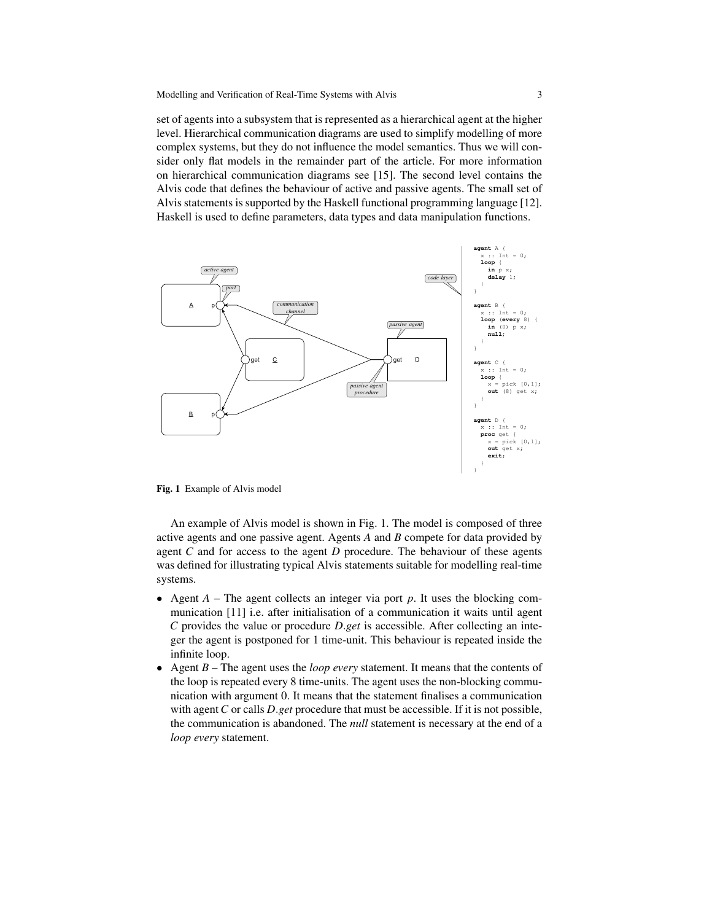set of agents into a subsystem that is represented as a hierarchical agent at the higher level. Hierarchical communication diagrams are used to simplify modelling of more complex systems, but they do not influence the model semantics. Thus we will consider only flat models in the remainder part of the article. For more information on hierarchical communication diagrams see [15]. The second level contains the Alvis code that defines the behaviour of active and passive agents. The small set of Alvis statements is supported by the Haskell functional programming language [12]. Haskell is used to define parameters, data types and data manipulation functions.



Fig. 1 Example of Alvis model

An example of Alvis model is shown in Fig. 1. The model is composed of three active agents and one passive agent. Agents *A* and *B* compete for data provided by agent *C* and for access to the agent *D* procedure. The behaviour of these agents was defined for illustrating typical Alvis statements suitable for modelling real-time systems.

- Agent  $A$  The agent collects an integer via port p. It uses the blocking communication [11] i.e. after initialisation of a communication it waits until agent *C* provides the value or procedure *D*.*get* is accessible. After collecting an integer the agent is postponed for 1 time-unit. This behaviour is repeated inside the infinite loop.
- Agent *B* The agent uses the *loop every* statement. It means that the contents of the loop is repeated every 8 time-units. The agent uses the non-blocking communication with argument 0. It means that the statement finalises a communication with agent*C* or calls *D*.*get* procedure that must be accessible. If it is not possible, the communication is abandoned. The *null* statement is necessary at the end of a *loop every* statement.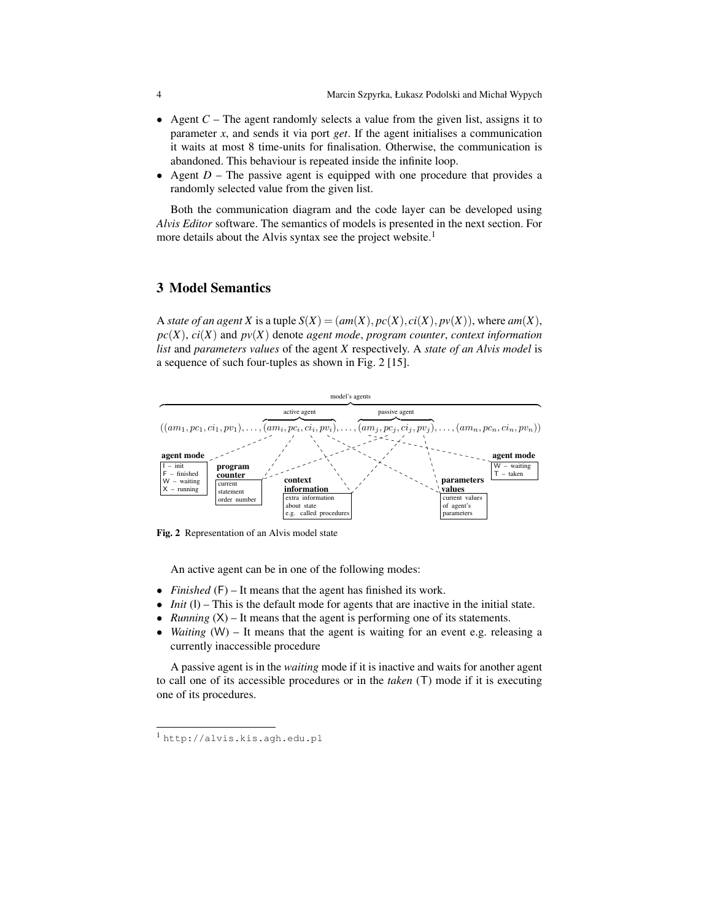- Agent  $C$  The agent randomly selects a value from the given list, assigns it to parameter *x*, and sends it via port *get*. If the agent initialises a communication it waits at most 8 time-units for finalisation. Otherwise, the communication is abandoned. This behaviour is repeated inside the infinite loop.
- Agent  $D$  The passive agent is equipped with one procedure that provides a randomly selected value from the given list.

Both the communication diagram and the code layer can be developed using *Alvis Editor* software. The semantics of models is presented in the next section. For more details about the Alvis syntax see the project website.<sup>1</sup>

## 3 Model Semantics

A *state of an agent X* is a tuple  $S(X) = (am(X), pc(X), ci(X), pv(X))$ , where  $am(X)$ ,  $pc(X)$ ,  $ci(X)$  and  $pv(X)$  denote *agent mode*, *program counter*, *context information list* and *parameters values* of the agent *X* respectively. A *state of an Alvis model* is a sequence of such four-tuples as shown in Fig. 2 [15].



Fig. 2 Representation of an Alvis model state

An active agent can be in one of the following modes:

- *Finished* (F) It means that the agent has finished its work.<br>• *Init* (I) This is the default mode for agents that are inactive
- *Init* (I) This is the default mode for agents that are inactive in the initial state.
- *Running* (X) It means that the agent is performing one of its statements.<br>• *Waiting* (W) It means that the agent is waiting for an event e.g. relea
- *Waiting*  $(W)$  It means that the agent is waiting for an event e.g. releasing a currently inaccessible procedure

A passive agent is in the *waiting* mode if it is inactive and waits for another agent to call one of its accessible procedures or in the *taken* (T) mode if it is executing one of its procedures.

<sup>1</sup> http://alvis.kis.agh.edu.pl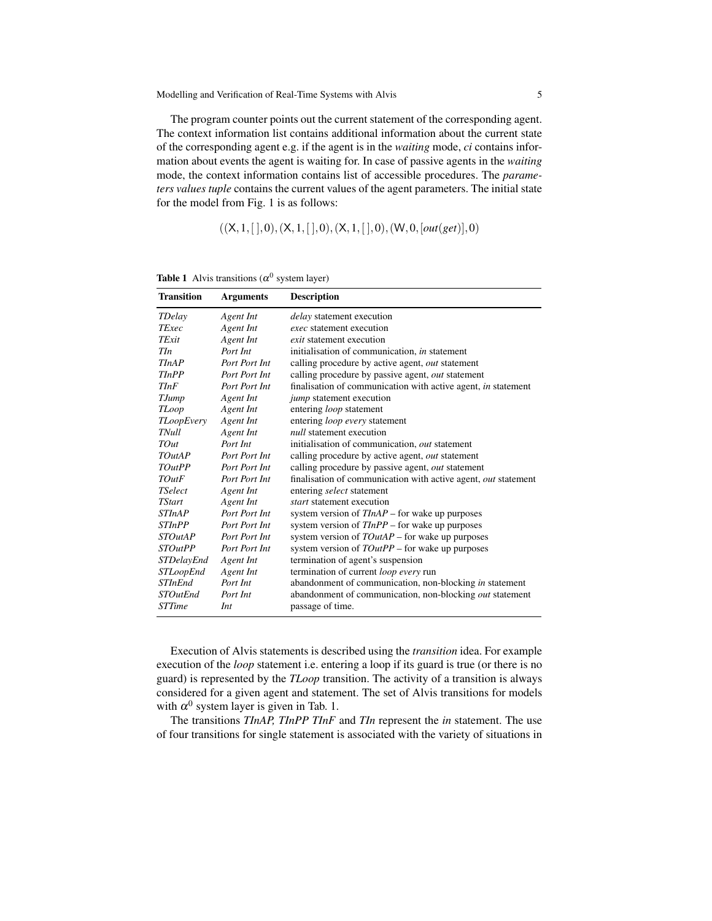The program counter points out the current statement of the corresponding agent. The context information list contains additional information about the current state of the corresponding agent e.g. if the agent is in the *waiting* mode, *ci* contains information about events the agent is waiting for. In case of passive agents in the *waiting* mode, the context information contains list of accessible procedures. The *parameters values tuple* contains the current values of the agent parameters. The initial state for the model from Fig. 1 is as follows:

 $((X,1,[],0),(X,1,[],0),(X,1,[],0),(W,0,[out(get)],0)$ 

| <b>Transition</b> | <b>Arguments</b> | <b>Description</b>                                              |
|-------------------|------------------|-----------------------------------------------------------------|
| <b>TDelay</b>     | Agent Int        | delay statement execution                                       |
| <b>TExec</b>      | Agent Int        | <i>exec</i> statement execution                                 |
| TExit             | Agent Int        | <i>exit</i> statement execution                                 |
| TIn               | Port Int         | initialisation of communication, in statement                   |
| TInAP             | Port Port Int    | calling procedure by active agent, <i>out</i> statement         |
| <b>TInPP</b>      | Port Port Int    | calling procedure by passive agent, <i>out</i> statement        |
| <b>TInF</b>       | Port Port Int    | finalisation of communication with active agent, in statement   |
| <b>TJump</b>      | Agent Int        | <i>jump</i> statement execution                                 |
| <b>TLoop</b>      | Agent Int        | entering <i>loop</i> statement                                  |
| <b>TLoopEvery</b> | Agent Int        | entering <i>loop every</i> statement                            |
| <b>TNull</b>      | Agent Int        | <i>null</i> statement execution                                 |
| TOut              | Port Int         | initialisation of communication, <i>out</i> statement           |
| <b>TOutAP</b>     | Port Port Int    | calling procedure by active agent, <i>out</i> statement         |
| <b>TOutPP</b>     | Port Port Int    | calling procedure by passive agent, <i>out</i> statement        |
| TOutF             | Port Port Int    | finalisation of communication with active agent, out statement  |
| <b>TSelect</b>    | Agent Int        | entering select statement                                       |
| <b>TStart</b>     | Agent Int        | start statement execution                                       |
| STInAP            | Port Port Int    | system version of $TInAP$ – for wake up purposes                |
| <b>STInPP</b>     | Port Port Int    | system version of $TInPP$ – for wake up purposes                |
| <b>STOutAP</b>    | Port Port Int    | system version of $TOutAP$ – for wake up purposes               |
| <b>STOutPP</b>    | Port Port Int    | system version of $TOutPP$ – for wake up purposes               |
| <i>STDelayEnd</i> | Agent Int        | termination of agent's suspension                               |
| <b>STLoopEnd</b>  | Agent Int        | termination of current loop every run                           |
| <b>STInEnd</b>    | Port Int         | abandonment of communication, non-blocking in statement         |
| <b>STOutEnd</b>   | Port Int         | abandonment of communication, non-blocking <i>out</i> statement |
| <b>STTime</b>     | Int              | passage of time.                                                |

**Table 1** Alvis transitions ( $\alpha^0$  system layer)

Execution of Alvis statements is described using the *transition* idea. For example execution of the *loop* statement i.e. entering a loop if its guard is true (or there is no guard) is represented by the *TLoop* transition. The activity of a transition is always considered for a given agent and statement. The set of Alvis transitions for models with  $\alpha^0$  system layer is given in Tab. 1.

The transitions *TInAP, TInPP TInF* and *TIn* represent the *in* statement. The use of four transitions for single statement is associated with the variety of situations in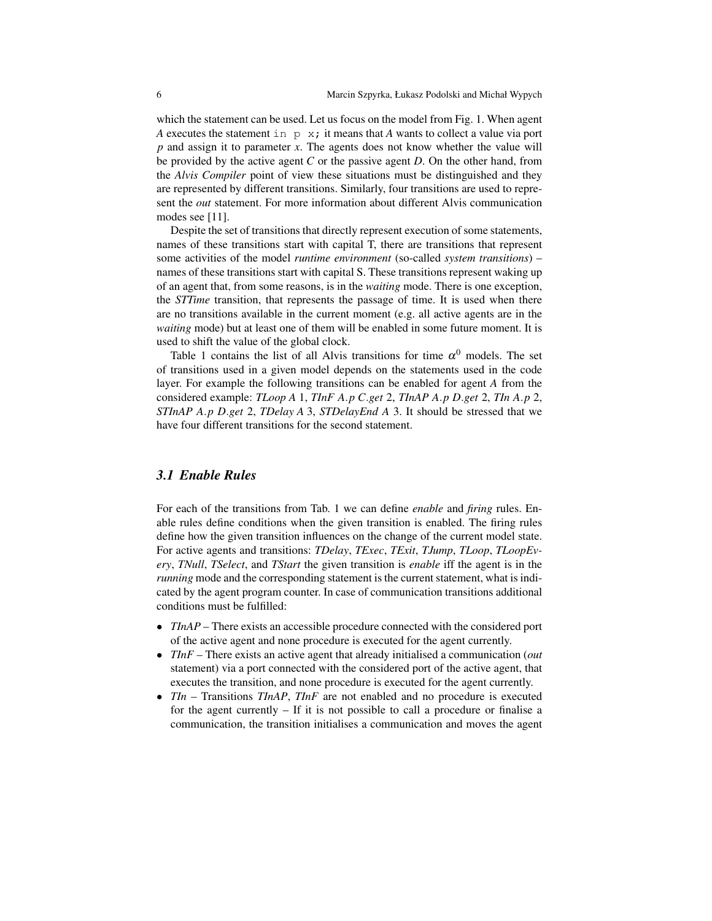which the statement can be used. Let us focus on the model from Fig. 1. When agent *A* executes the statement in p x; it means that *A* wants to collect a value via port *p* and assign it to parameter *x*. The agents does not know whether the value will be provided by the active agent *C* or the passive agent *D*. On the other hand, from the *Alvis Compiler* point of view these situations must be distinguished and they are represented by different transitions. Similarly, four transitions are used to represent the *out* statement. For more information about different Alvis communication modes see [11].

Despite the set of transitions that directly represent execution of some statements, names of these transitions start with capital T, there are transitions that represent some activities of the model *runtime environment* (so-called *system transitions*) – names of these transitions start with capital S. These transitions represent waking up of an agent that, from some reasons, is in the *waiting* mode. There is one exception, the *STTime* transition, that represents the passage of time. It is used when there are no transitions available in the current moment (e.g. all active agents are in the *waiting* mode) but at least one of them will be enabled in some future moment. It is used to shift the value of the global clock.

Table 1 contains the list of all Alvis transitions for time  $\alpha^0$  models. The set of transitions used in a given model depends on the statements used in the code layer. For example the following transitions can be enabled for agent *A* from the considered example: *TLoop A* 1, *TInF A*.*p C*.*get* 2, *TInAP A*.*p D*.*get* 2, *TIn A*.*p* 2, *STInAP A*.*p D*.*get* 2, *TDelay A* 3, *STDelayEnd A* 3. It should be stressed that we have four different transitions for the second statement.

#### *3.1 Enable Rules*

For each of the transitions from Tab. 1 we can define *enable* and *firing* rules. Enable rules define conditions when the given transition is enabled. The firing rules define how the given transition influences on the change of the current model state. For active agents and transitions: *TDelay*, *TExec*, *TExit*, *TJump*, *TLoop*, *TLoopEvery*, *TNull*, *TSelect*, and *TStart* the given transition is *enable* iff the agent is in the *running* mode and the corresponding statement is the current statement, what is indicated by the agent program counter. In case of communication transitions additional conditions must be fulfilled:

- *TInAP* There exists an accessible procedure connected with the considered port of the active agent and none procedure is executed for the agent currently.
- *TInF* There exists an active agent that already initialised a communication (*out* statement) via a port connected with the considered port of the active agent, that executes the transition, and none procedure is executed for the agent currently.
- *TIn* Transitions *TInAP*, *TInF* are not enabled and no procedure is executed for the agent currently – If it is not possible to call a procedure or finalise a communication, the transition initialises a communication and moves the agent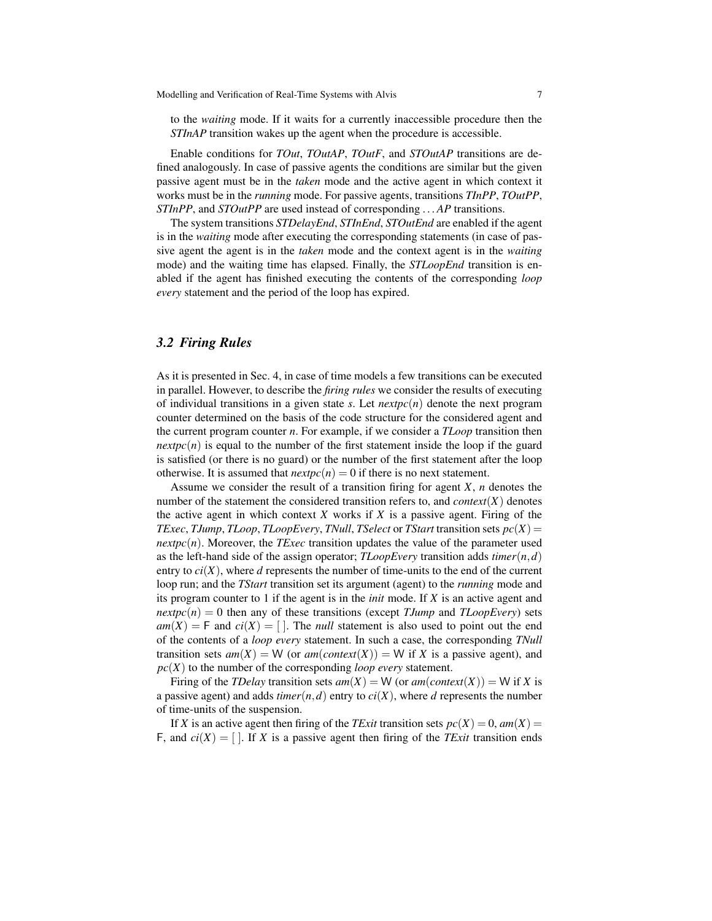to the *waiting* mode. If it waits for a currently inaccessible procedure then the *STInAP* transition wakes up the agent when the procedure is accessible.

Enable conditions for *TOut*, *TOutAP*, *TOutF*, and *STOutAP* transitions are defined analogously. In case of passive agents the conditions are similar but the given passive agent must be in the *taken* mode and the active agent in which context it works must be in the *running* mode. For passive agents, transitions *TInPP*, *TOutPP*, *STInPP*, and *STOutPP* are used instead of corresponding *. . . AP* transitions.

The system transitions *STDelayEnd*, *STInEnd*, *STOutEnd* are enabled if the agent is in the *waiting* mode after executing the corresponding statements (in case of passive agent the agent is in the *taken* mode and the context agent is in the *waiting* mode) and the waiting time has elapsed. Finally, the *STLoopEnd* transition is enabled if the agent has finished executing the contents of the corresponding *loop every* statement and the period of the loop has expired.

### *3.2 Firing Rules*

As it is presented in Sec. 4, in case of time models a few transitions can be executed in parallel. However, to describe the *firing rules* we consider the results of executing of individual transitions in a given state  $s$ . Let  $\text{nextpc}(n)$  denote the next program counter determined on the basis of the code structure for the considered agent and the current program counter *n*. For example, if we consider a *TLoop* transition then  $nextpc(n)$  is equal to the number of the first statement inside the loop if the guard is satisfied (or there is no guard) or the number of the first statement after the loop otherwise. It is assumed that  $nextpc(n) = 0$  if there is no next statement.

Assume we consider the result of a transition firing for agent *X*, *n* denotes the number of the statement the considered transition refers to, and *context*( $X$ ) denotes the active agent in which context  $X$  works if  $X$  is a passive agent. Firing of the *TExec*, *TJump*, *TLoop*, *TLoopEvery*, *TNull*, *TSelect* or *TStart* transition sets  $pc(X) =$ *nextpc*( $n$ ). Moreover, the *TExec* transition updates the value of the parameter used as the left-hand side of the assign operator; *TLoopEvery* transition adds *timer*(*n*,*d*) entry to  $ci(X)$ , where  $d$  represents the number of time-units to the end of the current loop run; and the *TStart* transition set its argument (agent) to the *running* mode and its program counter to 1 if the agent is in the *init* mode. If *X* is an active agent and  $nextpc(n) = 0$  then any of these transitions (except *TJump* and *TLoopEvery*) sets  $am(X) = F$  and  $ci(X) = [$ . The *null* statement is also used to point out the end of the contents of a *loop every* statement. In such a case, the corresponding *TNull* transition sets  $am(X) = W$  (or  $am(context(X)) = W$  if X is a passive agent), and  $pc(X)$  to the number of the corresponding *loop every* statement.

Firing of the *TDelay* transition sets  $am(X) = W$  (or  $am(context(X)) = W$  if X is a passive agent) and adds  $timer(n, d)$  entry to  $ci(X)$ , where *d* represents the number of time-units of the suspension.

If *X* is an active agent then firing of the *TExit* transition sets  $pc(X) = 0$ ,  $am(X) =$ F, and  $ci(X) = [$ . If X is a passive agent then firing of the *TExit* transition ends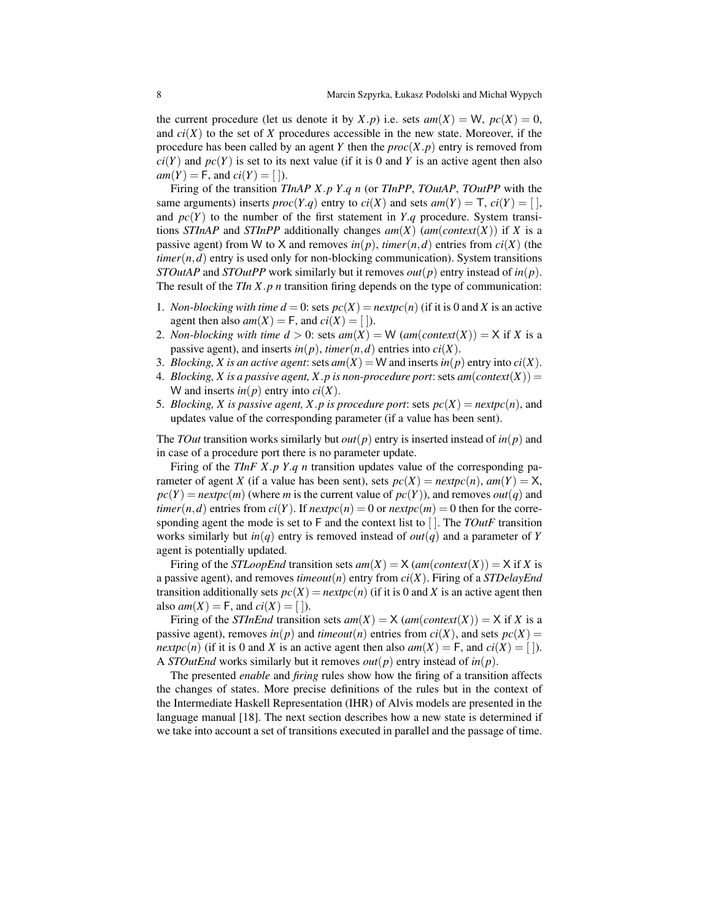the current procedure (let us denote it by  $X$ .*p*) i.e. sets  $am(X) = W$ ,  $pc(X) = 0$ , and  $ci(X)$  to the set of  $X$  procedures accessible in the new state. Moreover, if the procedure has been called by an agent *Y* then the  $proc(X, p)$  entry is removed from  $ci(Y)$  and  $pc(Y)$  is set to its next value (if it is 0 and *Y* is an active agent then also  $am(Y) = F$ , and  $ci(Y) = [$   $]$ ).

Firing of the transition *TInAP X*.*p Y*.*q n* (or *TInPP*, *TOutAP*, *TOutPP* with the same arguments) inserts  $proc(Y.q)$  entry to  $ci(X)$  and sets  $am(Y) = T$ ,  $ci(Y) = [$ , and  $pc(Y)$  to the number of the first statement in *Y.q* procedure. System transitions *STInAP* and *STInPP* additionally changes  $am(X)$  ( $am(context(X))$ ) if *X* is a passive agent) from W to X and removes  $in(p)$ ,  $timer(n,d)$  entries from  $ci(X)$  (the  *entry is used only for non-blocking communication). System transitions STOutAP* and *STOutPP* work similarly but it removes *out*(*p*) entry instead of *in*(*p*). The result of the *TIn X*.*p n* transition firing depends on the type of communication:

- 1. *Non-blocking with time*  $d = 0$ *: sets*  $pc(X) = nextpc(n)$  *(if it is 0 and X is an active* agent then also  $am(X) = F$ , and  $ci(X) = [$   $]$ ).
- 2. *Non-blocking with time*  $d > 0$ *: sets*  $am(X) = W$  *(am(context(X)) = X if X is a* passive agent), and inserts  $in(p)$ ,  $timer(n,d)$  entries into  $ci(X)$ .
- 3. *Blocking, X is an active agent:* sets  $am(X) = W$  and inserts  $in(p)$  entry into  $ci(X)$ .
- 4. *Blocking, X is a passive agent, X .p is non-procedure port: sets am(context(X))* = W and inserts  $in(p)$  entry into  $ci(X)$ .
- 5. *Blocking, X is passive agent, X .p is procedure port: sets*  $pc(X) = nextpc(n)$ *, and* updates value of the corresponding parameter (if a value has been sent).

The *TOut* transition works similarly but *out*(*p*) entry is inserted instead of *in*(*p*) and in case of a procedure port there is no parameter update.

Firing of the *TInF X*.*p Y*.*q n* transition updates value of the corresponding parameter of agent *X* (if a value has been sent), sets  $pc(X) = newpc(n), am(Y) = X$ ,  $pc(Y) =$ *nextpc*(*m*) (where *m* is the current value of  $pc(Y)$ ), and removes *out*(*q*) and *timer*(*n*,*d*) entries from *ci*(*Y*). If *nextpc*(*n*) = 0 or *nextpc*(*m*) = 0 then for the corresponding agent the mode is set to F and the context list to [ ]. The *TOutF* transition works similarly but  $in(q)$  entry is removed instead of  $out(q)$  and a parameter of *Y* agent is potentially updated.

Firing of the *STLoopEnd* transition sets  $am(X) = X$  ( $am(context(X)) = X$  if X is a passive agent), and removes *timeout*(*n*) entry from *ci*(*X*). Firing of a *STDelayEnd* transition additionally sets  $pc(X) = nextpc(n)$  (if it is 0 and X is an active agent then also  $am(X) = F$ , and  $ci(X) = [$   $]$ ).

Firing of the *STInEnd* transition sets  $am(X) = X$  ( $am(constext(X)) = X$  if *X* is a passive agent), removes  $in(p)$  and  $timeout(n)$  entries from  $ci(X)$ , and sets  $pc(X)$ *nextpc*(*n*) (if it is 0 and *X* is an active agent then also  $am(X) = F$ , and  $ci(X) = [$ ). A *STOutEnd* works similarly but it removes *out*(*p*) entry instead of *in*(*p*).

The presented *enable* and *firing* rules show how the firing of a transition affects the changes of states. More precise definitions of the rules but in the context of the Intermediate Haskell Representation (IHR) of Alvis models are presented in the language manual [18]. The next section describes how a new state is determined if we take into account a set of transitions executed in parallel and the passage of time.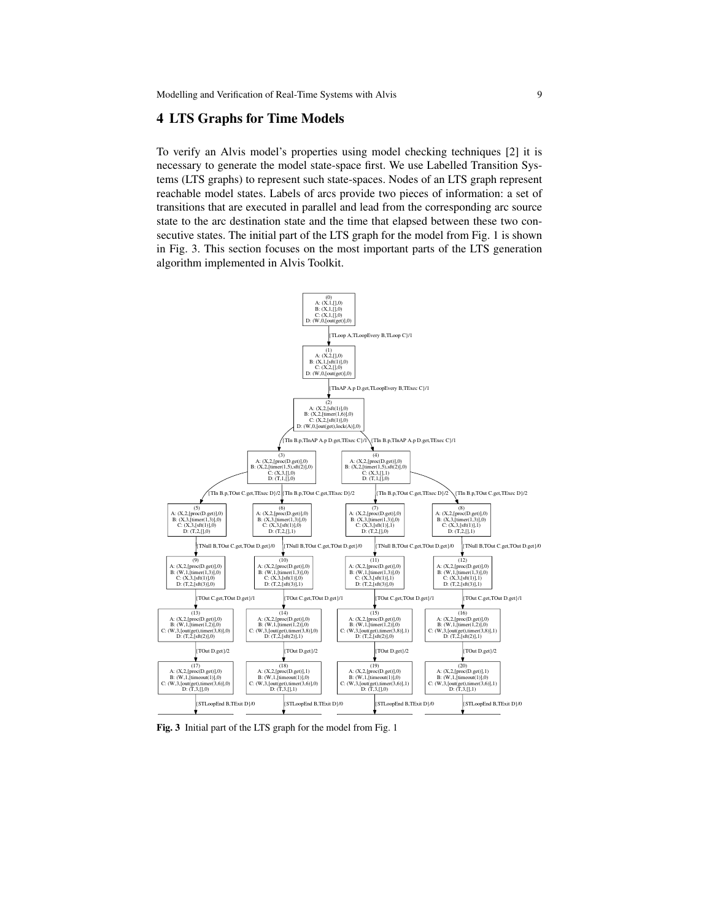#### 4 LTS Graphs for Time Models

To verify an Alvis model's properties using model checking techniques [2] it is necessary to generate the model state-space first. We use Labelled Transition Systems (LTS graphs) to represent such state-spaces. Nodes of an LTS graph represent reachable model states. Labels of arcs provide two pieces of information: a set of transitions that are executed in parallel and lead from the corresponding arc source state to the arc destination state and the time that elapsed between these two consecutive states. The initial part of the LTS graph for the model from Fig. 1 is shown in Fig. 3. This section focuses on the most important parts of the LTS generation algorithm implemented in Alvis Toolkit.



Fig. 3 Initial part of the LTS graph for the model from Fig. 1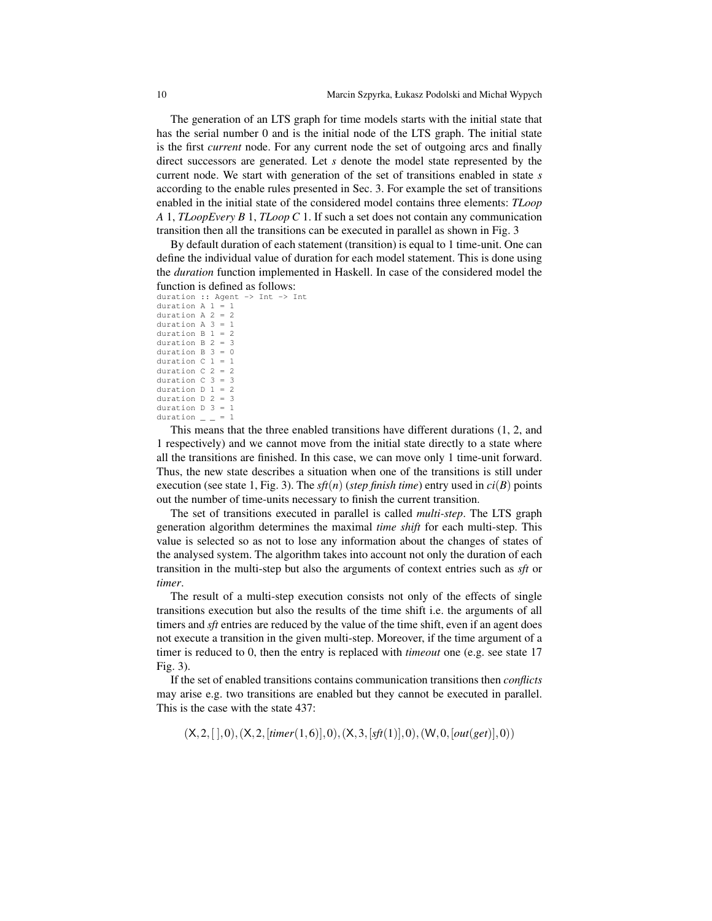The generation of an LTS graph for time models starts with the initial state that has the serial number 0 and is the initial node of the LTS graph. The initial state is the first *current* node. For any current node the set of outgoing arcs and finally direct successors are generated. Let *s* denote the model state represented by the current node. We start with generation of the set of transitions enabled in state *s* according to the enable rules presented in Sec. 3. For example the set of transitions enabled in the initial state of the considered model contains three elements: *TLoop A* 1, *TLoopEvery B* 1, *TLoop C* 1. If such a set does not contain any communication transition then all the transitions can be executed in parallel as shown in Fig. 3

By default duration of each statement (transition) is equal to 1 time-unit. One can define the individual value of duration for each model statement. This is done using the *duration* function implemented in Haskell. In case of the considered model the function is defined as follows:

```
duration :: Agent -> Int -> Int
duration A 1 = 1
duration A 2 = 2
duration A 3 = 1
duration B_1 = 2duration B 2 = 3
duration B 3 = 0
duration C_1 = 1duration C 2 = 2
duration C 3 = 3
duration D_1 = 2duration D 2 = 3
duration D 3 = 1
duration = = = 1
```
This means that the three enabled transitions have different durations (1, 2, and 1 respectively) and we cannot move from the initial state directly to a state where all the transitions are finished. In this case, we can move only 1 time-unit forward. Thus, the new state describes a situation when one of the transitions is still under execution (see state 1, Fig. 3). The  $sft(n)$  (*step finish time*) entry used in  $ci(B)$  points out the number of time-units necessary to finish the current transition.

The set of transitions executed in parallel is called *multi-step*. The LTS graph generation algorithm determines the maximal *time shift* for each multi-step. This value is selected so as not to lose any information about the changes of states of the analysed system. The algorithm takes into account not only the duration of each transition in the multi-step but also the arguments of context entries such as *sft* or *timer*.

The result of a multi-step execution consists not only of the effects of single transitions execution but also the results of the time shift i.e. the arguments of all timers and *sft* entries are reduced by the value of the time shift, even if an agent does not execute a transition in the given multi-step. Moreover, if the time argument of a timer is reduced to 0, then the entry is replaced with *timeout* one (e.g. see state 17 Fig. 3).

If the set of enabled transitions contains communication transitions then *conflicts* may arise e.g. two transitions are enabled but they cannot be executed in parallel. This is the case with the state 437:

 $(X, 2, [ \ ], 0), (X, 2, [timer(1,6)], 0), (X, 3, [sft(1)], 0), (W, 0, [out(get)], 0))$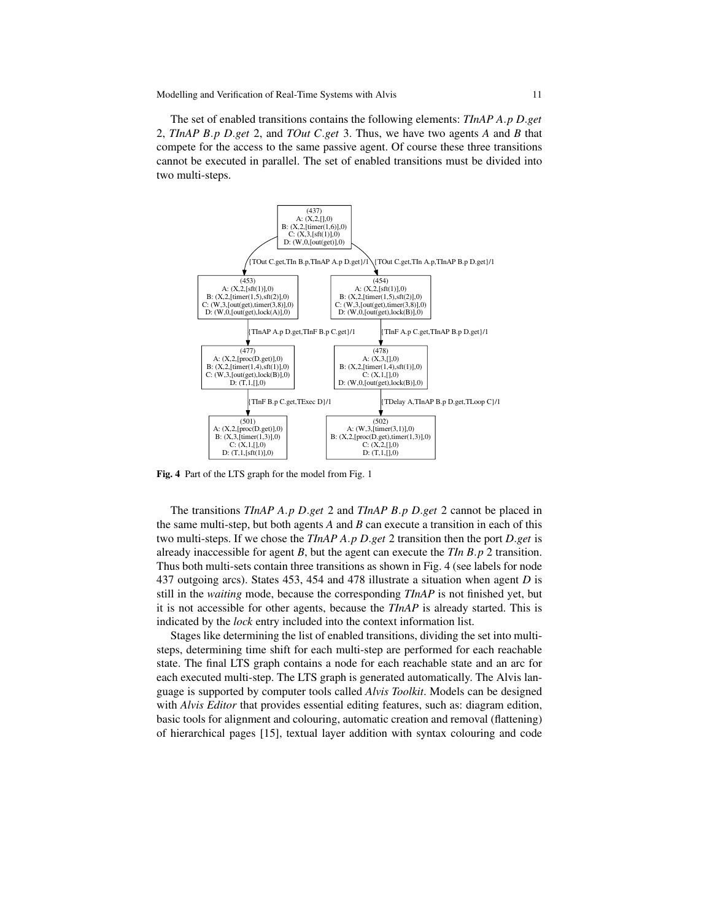The set of enabled transitions contains the following elements: *TInAP A*.*p D*.*get* 2, *TInAP B*.*p D*.*get* 2, and *TOut C*.*get* 3. Thus, we have two agents *A* and *B* that compete for the access to the same passive agent. Of course these three transitions cannot be executed in parallel. The set of enabled transitions must be divided into two multi-steps.



Fig. 4 Part of the LTS graph for the model from Fig. 1

The transitions *TInAP A*.*p D*.*get* 2 and *TInAP B*.*p D*.*get* 2 cannot be placed in the same multi-step, but both agents *A* and *B* can execute a transition in each of this two multi-steps. If we chose the *TInAP A*.*p D*.*get* 2 transition then the port *D*.*get* is already inaccessible for agent *B*, but the agent can execute the *TIn B*.*p* 2 transition. Thus both multi-sets contain three transitions as shown in Fig. 4 (see labels for node 437 outgoing arcs). States 453, 454 and 478 illustrate a situation when agent *D* is still in the *waiting* mode, because the corresponding *TInAP* is not finished yet, but it is not accessible for other agents, because the *TInAP* is already started. This is indicated by the *lock* entry included into the context information list.

Stages like determining the list of enabled transitions, dividing the set into multisteps, determining time shift for each multi-step are performed for each reachable state. The final LTS graph contains a node for each reachable state and an arc for each executed multi-step. The LTS graph is generated automatically. The Alvis language is supported by computer tools called *Alvis Toolkit*. Models can be designed with *Alvis Editor* that provides essential editing features, such as: diagram edition, basic tools for alignment and colouring, automatic creation and removal (flattening) of hierarchical pages [15], textual layer addition with syntax colouring and code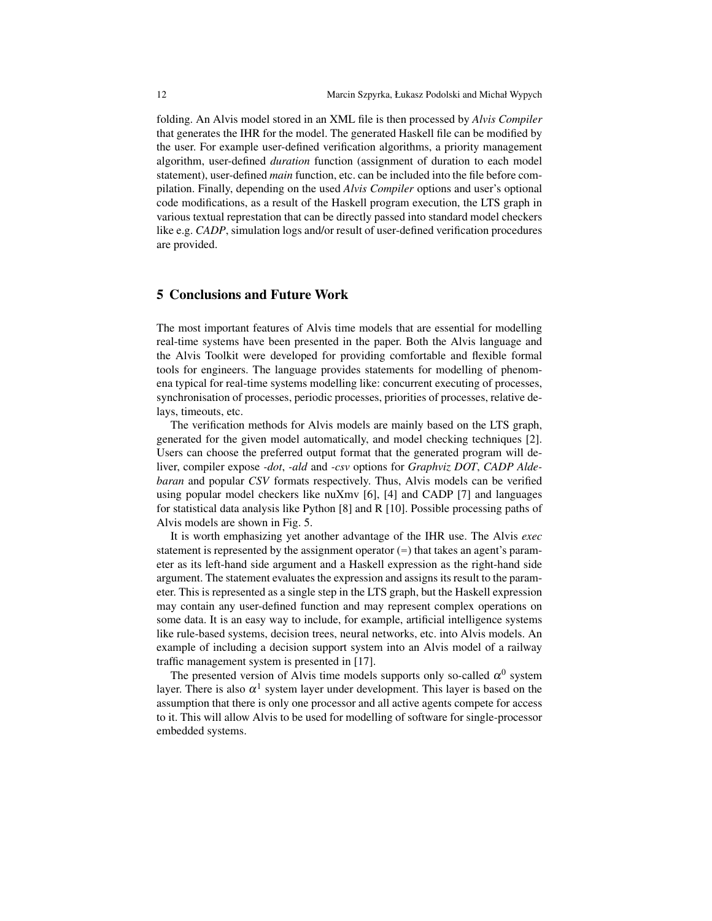folding. An Alvis model stored in an XML file is then processed by *Alvis Compiler* that generates the IHR for the model. The generated Haskell file can be modified by the user. For example user-defined verification algorithms, a priority management algorithm, user-defined *duration* function (assignment of duration to each model statement), user-defined *main* function, etc. can be included into the file before compilation. Finally, depending on the used *Alvis Compiler* options and user's optional code modifications, as a result of the Haskell program execution, the LTS graph in various textual represtation that can be directly passed into standard model checkers like e.g. *CADP*, simulation logs and/or result of user-defined verification procedures are provided.

### 5 Conclusions and Future Work

The most important features of Alvis time models that are essential for modelling real-time systems have been presented in the paper. Both the Alvis language and the Alvis Toolkit were developed for providing comfortable and flexible formal tools for engineers. The language provides statements for modelling of phenomena typical for real-time systems modelling like: concurrent executing of processes, synchronisation of processes, periodic processes, priorities of processes, relative delays, timeouts, etc.

The verification methods for Alvis models are mainly based on the LTS graph, generated for the given model automatically, and model checking techniques [2]. Users can choose the preferred output format that the generated program will deliver, compiler expose *-dot*, *-ald* and *-csv* options for *Graphviz DOT*, *CADP Aldebaran* and popular *CSV* formats respectively. Thus, Alvis models can be verified using popular model checkers like nuXmv [6], [4] and CADP [7] and languages for statistical data analysis like Python [8] and R [10]. Possible processing paths of Alvis models are shown in Fig. 5.

It is worth emphasizing yet another advantage of the IHR use. The Alvis *exec* statement is represented by the assignment operator (=) that takes an agent's parameter as its left-hand side argument and a Haskell expression as the right-hand side argument. The statement evaluates the expression and assigns its result to the parameter. This is represented as a single step in the LTS graph, but the Haskell expression may contain any user-defined function and may represent complex operations on some data. It is an easy way to include, for example, artificial intelligence systems like rule-based systems, decision trees, neural networks, etc. into Alvis models. An example of including a decision support system into an Alvis model of a railway traffic management system is presented in [17].

The presented version of Alvis time models supports only so-called  $\alpha^0$  system layer. There is also  $\alpha^1$  system layer under development. This layer is based on the assumption that there is only one processor and all active agents compete for access to it. This will allow Alvis to be used for modelling of software for single-processor embedded systems.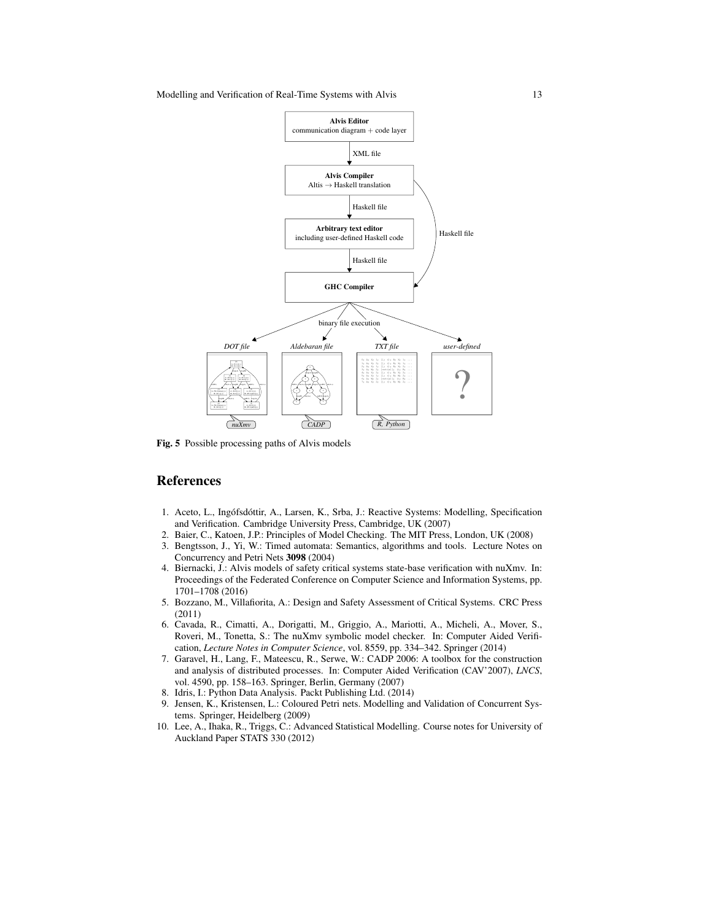

Fig. 5 Possible processing paths of Alvis models

#### References

- 1. Aceto, L., Ingófsdóttir, A., Larsen, K., Srba, J.: Reactive Systems: Modelling, Specification and Verification. Cambridge University Press, Cambridge, UK (2007)
- 2. Baier, C., Katoen, J.P.: Principles of Model Checking. The MIT Press, London, UK (2008)
- 3. Bengtsson, J., Yi, W.: Timed automata: Semantics, algorithms and tools. Lecture Notes on Concurrency and Petri Nets 3098 (2004)
- 4. Biernacki, J.: Alvis models of safety critical systems state-base verification with nuXmv. In: Proceedings of the Federated Conference on Computer Science and Information Systems, pp. 1701–1708 (2016)
- 5. Bozzano, M., Villafiorita, A.: Design and Safety Assessment of Critical Systems. CRC Press (2011)
- 6. Cavada, R., Cimatti, A., Dorigatti, M., Griggio, A., Mariotti, A., Micheli, A., Mover, S., Roveri, M., Tonetta, S.: The nuXmv symbolic model checker. In: Computer Aided Verification, *Lecture Notes in Computer Science*, vol. 8559, pp. 334–342. Springer (2014)
- 7. Garavel, H., Lang, F., Mateescu, R., Serwe, W.: CADP 2006: A toolbox for the construction and analysis of distributed processes. In: Computer Aided Verification (CAV'2007), *LNCS*, vol. 4590, pp. 158–163. Springer, Berlin, Germany (2007)
- 8. Idris, I.: Python Data Analysis. Packt Publishing Ltd. (2014)
- 9. Jensen, K., Kristensen, L.: Coloured Petri nets. Modelling and Validation of Concurrent Systems. Springer, Heidelberg (2009)
- 10. Lee, A., Ihaka, R., Triggs, C.: Advanced Statistical Modelling. Course notes for University of Auckland Paper STATS 330 (2012)